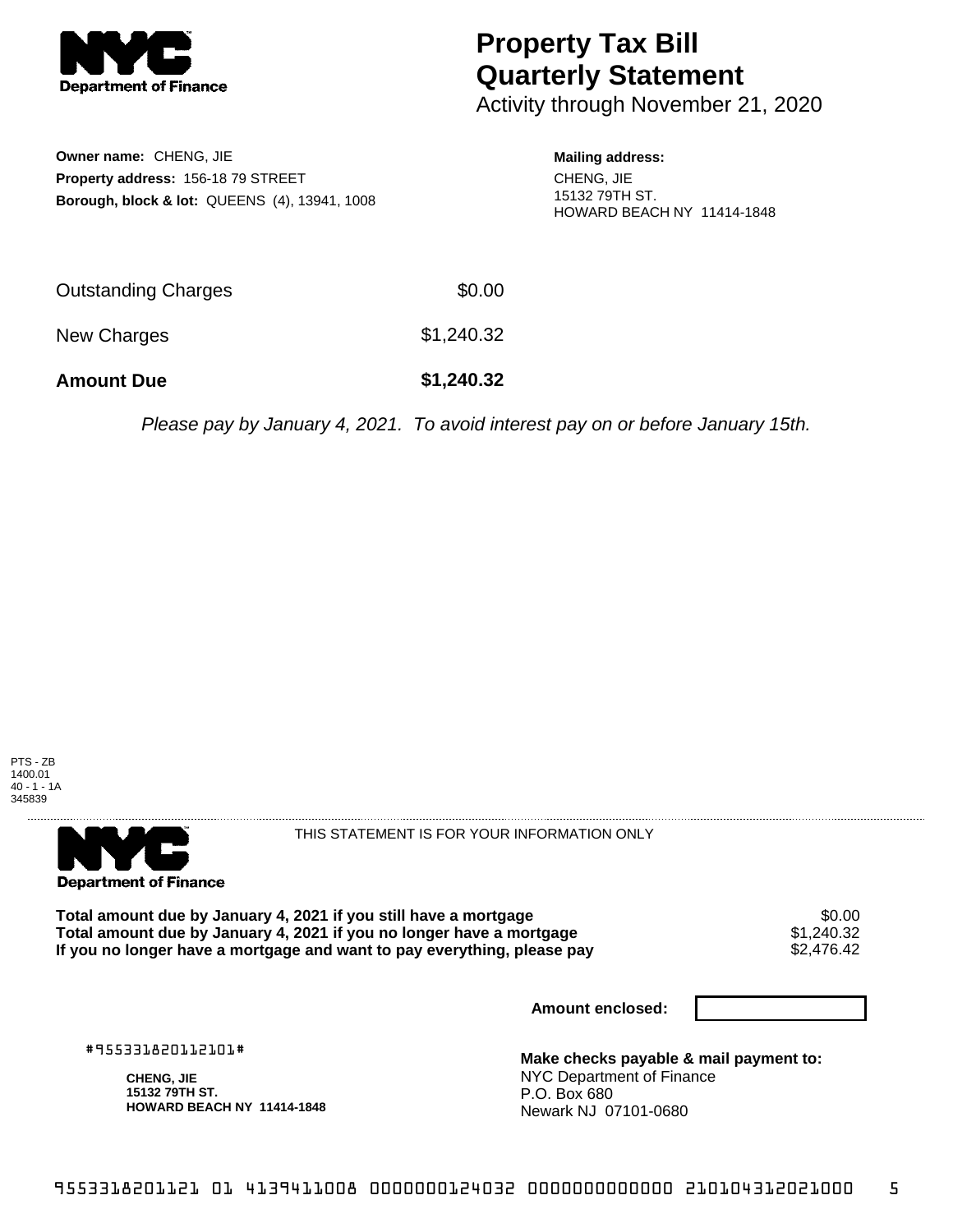

## **Property Tax Bill Quarterly Statement**

Activity through November 21, 2020

**Owner name:** CHENG, JIE **Property address:** 156-18 79 STREET **Borough, block & lot:** QUEENS (4), 13941, 1008 **Mailing address:** CHENG, JIE 15132 79TH ST. HOWARD BEACH NY 11414-1848

| <b>Amount Due</b>   | \$1,240.32 |
|---------------------|------------|
| New Charges         | \$1,240.32 |
| Outstanding Charges | \$0.00     |

Please pay by January 4, 2021. To avoid interest pay on or before January 15th.

PTS - ZB 1400.01 40 - 1 - 1A 345839



THIS STATEMENT IS FOR YOUR INFORMATION ONLY

Total amount due by January 4, 2021 if you still have a mortgage **\$0.00** \$0.00<br>Total amount due by January 4, 2021 if you no longer have a mortgage **\$1.240.32 Total amount due by January 4, 2021 if you no longer have a mortgage**  $$1,240.32$$ **<br>If you no longer have a mortgage and want to pay everything, please pay**  $$2,476.42$$ If you no longer have a mortgage and want to pay everything, please pay

**Amount enclosed:**

#955331820112101#

**CHENG, JIE 15132 79TH ST. HOWARD BEACH NY 11414-1848**

**Make checks payable & mail payment to:** NYC Department of Finance P.O. Box 680 Newark NJ 07101-0680